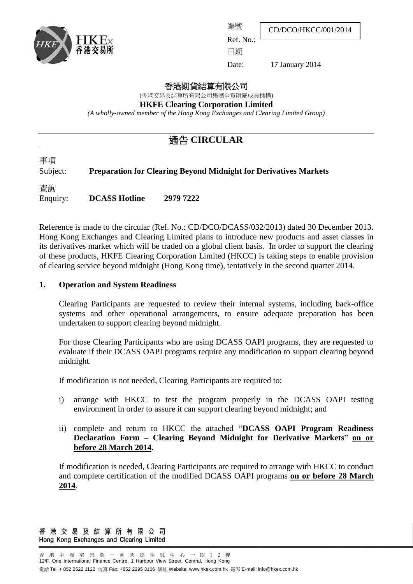

編號

Ref. No.:

CD/DCO/HKCC/001/2014

日期

Date: 17 January 2014

香港期貨結算有限公司

(香港交易及結算所有限公司集團全資附屬成員機構)

**HKFE Clearing Corporation Limited**

*(A wholly-owned member of the Hong Kong Exchanges and Clearing Limited Group)*

# 通告 **CIRCULAR**

事項 Subject: **Preparation for Clearing Beyond Midnight for Derivatives Markets**

查詢

Enquiry: **DCASS Hotline 2979 7222**

Reference is made to the circular (Ref. No.: [CD/DCO/DCASS/032/2013\)](http://www.hkex.com.hk/eng/market/partcir/hkcc/2013/Documents/ce_DCASS_032_Eng_2013.pdf) dated 30 December 2013. Hong Kong Exchanges and Clearing Limited plans to introduce new products and asset classes in its derivatives market which will be traded on a global client basis. In order to support the clearing of these products, HKFE Clearing Corporation Limited (HKCC) is taking steps to enable provision of clearing service beyond midnight (Hong Kong time), tentatively in the second quarter 2014.

#### **1. Operation and System Readiness**

Clearing Participants are requested to review their internal systems, including back-office systems and other operational arrangements, to ensure adequate preparation has been undertaken to support clearing beyond midnight.

For those Clearing Participants who are using DCASS OAPI programs, they are requested to evaluate if their DCASS OAPI programs require any modification to support clearing beyond midnight.

If modification is not needed, Clearing Participants are required to:

- i) arrange with HKCC to test the program properly in the DCASS OAPI testing environment in order to assure it can support clearing beyond midnight; and
- ii) complete and return to HKCC the attached "**DCASS OAPI Program Readiness Declaration Form – Clearing Beyond Midnight for Derivative Markets**" **on or before 28 March 2014**.

If modification is needed, Clearing Participants are required to arrange with HKCC to conduct and complete certification of the modified DCASS OAPI programs **on or before 28 March 2014**.

香 港 交 易 及 結 算 所 有 限 公 司 Hong Kong Exchanges and Clearing Limited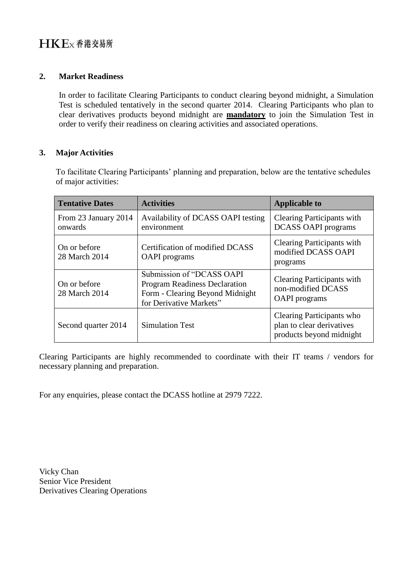#### **2. Market Readiness**

In order to facilitate Clearing Participants to conduct clearing beyond midnight, a Simulation Test is scheduled tentatively in the second quarter 2014. Clearing Participants who plan to clear derivatives products beyond midnight are **mandatory** to join the Simulation Test in order to verify their readiness on clearing activities and associated operations.

### **3. Major Activities**

To facilitate Clearing Participants' planning and preparation, below are the tentative schedules of major activities:

| <b>Tentative Dates</b>          | <b>Activities</b>                                                                                                               | <b>Applicable to</b>                                                               |
|---------------------------------|---------------------------------------------------------------------------------------------------------------------------------|------------------------------------------------------------------------------------|
| From 23 January 2014<br>onwards | Availability of DCASS OAPI testing<br>environment                                                                               | <b>Clearing Participants with</b><br><b>DCASS OAPI programs</b>                    |
| On or before<br>28 March 2014   | Certification of modified DCASS<br><b>OAPI</b> programs                                                                         | <b>Clearing Participants with</b><br>modified DCASS OAPI<br>programs               |
| On or before<br>28 March 2014   | Submission of "DCASS OAPI<br><b>Program Readiness Declaration</b><br>Form - Clearing Beyond Midnight<br>for Derivative Markets" | <b>Clearing Participants with</b><br>non-modified DCASS<br><b>OAPI</b> programs    |
| Second quarter 2014             | <b>Simulation Test</b>                                                                                                          | Clearing Participants who<br>plan to clear derivatives<br>products beyond midnight |

Clearing Participants are highly recommended to coordinate with their IT teams / vendors for necessary planning and preparation.

For any enquiries, please contact the DCASS hotline at 2979 7222.

Vicky Chan Senior Vice President Derivatives Clearing Operations